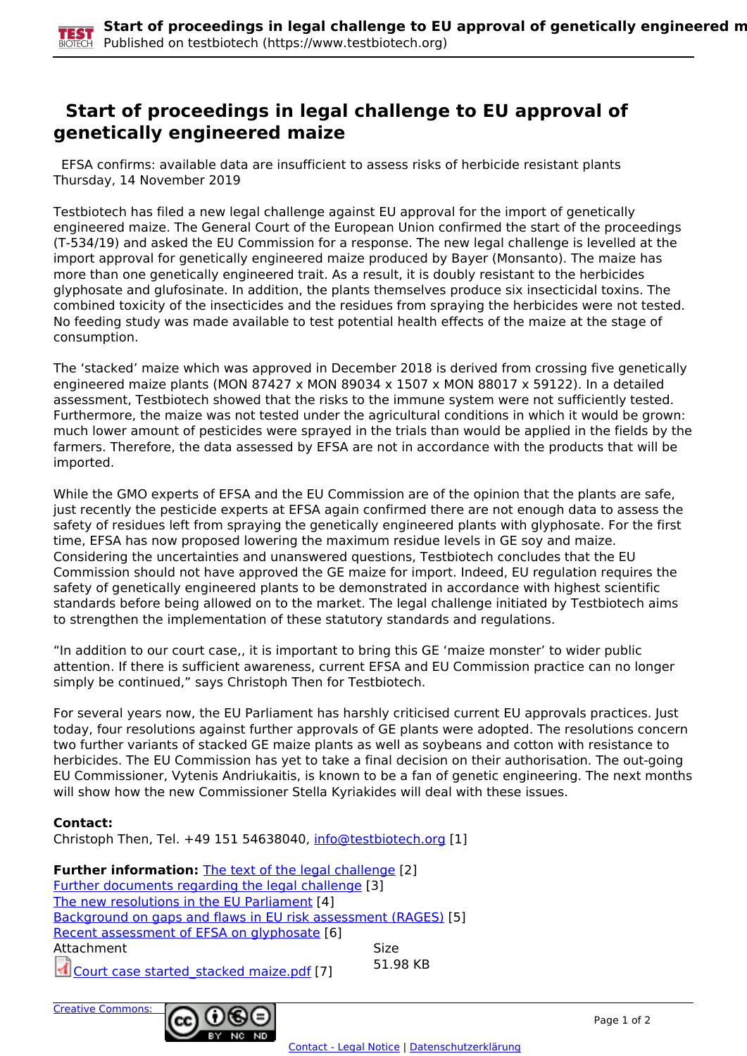## **Start of proceedings in legal challenge to EU approval of genetically engineered maize**

 EFSA confirms: available data are insufficient to assess risks of herbicide resistant plants Thursday, 14 November 2019

Testbiotech has filed a new legal challenge against EU approval for the import of genetically engineered maize. The General Court of the European Union confirmed the start of the proceedings (T-534/19) and asked the EU Commission for a response. The new legal challenge is levelled at the import approval for genetically engineered maize produced by Bayer (Monsanto). The maize has more than one genetically engineered trait. As a result, it is doubly resistant to the herbicides glyphosate and glufosinate. In addition, the plants themselves produce six insecticidal toxins. The combined toxicity of the insecticides and the residues from spraying the herbicides were not tested. No feeding study was made available to test potential health effects of the maize at the stage of consumption.

The 'stacked' maize which was approved in December 2018 is derived from crossing five genetically engineered maize plants (MON 87427 x MON 89034 x 1507 x MON 88017 x 59122). In a detailed assessment, Testbiotech showed that the risks to the immune system were not sufficiently tested. Furthermore, the maize was not tested under the agricultural conditions in which it would be grown: much lower amount of pesticides were sprayed in the trials than would be applied in the fields by the farmers. Therefore, the data assessed by EFSA are not in accordance with the products that will be imported.

While the GMO experts of EFSA and the EU Commission are of the opinion that the plants are safe, just recently the pesticide experts at EFSA again confirmed there are not enough data to assess the safety of residues left from spraying the genetically engineered plants with glyphosate. For the first time, EFSA has now proposed lowering the maximum residue levels in GE soy and maize. Considering the uncertainties and unanswered questions, Testbiotech concludes that the EU Commission should not have approved the GE maize for import. Indeed, EU regulation requires the safety of genetically engineered plants to be demonstrated in accordance with highest scientific standards before being allowed on to the market. The legal challenge initiated by Testbiotech aims to strengthen the implementation of these statutory standards and regulations.

"In addition to our court case,, it is important to bring this GE 'maize monster' to wider public attention. If there is sufficient awareness, current EFSA and EU Commission practice can no longer simply be continued," says Christoph Then for Testbiotech.

For several years now, the EU Parliament has harshly criticised current EU approvals practices. Just today, four resolutions against further approvals of GE plants were adopted. The resolutions concern two further variants of stacked GE maize plants as well as soybeans and cotton with resistance to herbicides. The EU Commission has yet to take a final decision on their authorisation. The out-going EU Commissioner, Vytenis Andriukaitis, is known to be a fan of genetic engineering. The next months will show how the new Commissioner Stella Kyriakides will deal with these issues.

## **Contact:**

Christoph Then, Tel. +49 151 54638040, [info@testbiotech.org](mailto:info@testbiotech.org) [1]

| <b>Further information:</b> The text of the legal challenge [2] |             |
|-----------------------------------------------------------------|-------------|
| Further documents regarding the legal challenge [3]             |             |
| The new resolutions in the EU Parliament [4]                    |             |
| Background on gaps and flaws in EU risk assessment (RAGES) [5]  |             |
| Recent assessment of EFSA on glyphosate [6]                     |             |
| Attachment                                                      | <b>Size</b> |
| Court case started_stacked maize.pdf [7]                        | 51.98 KB    |